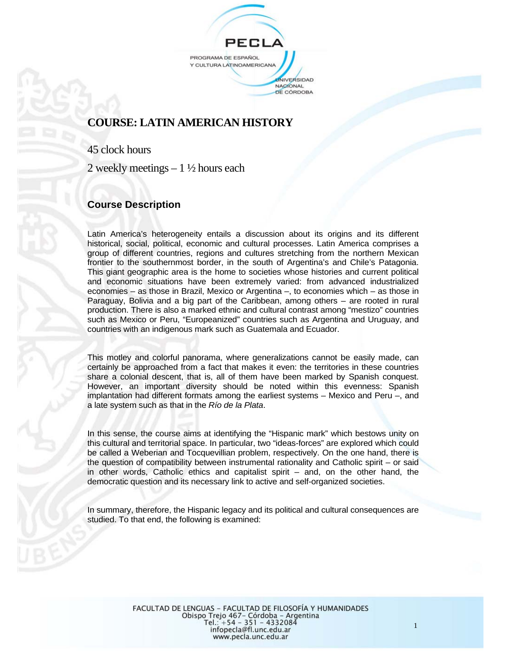PROGRAMA DE ESPAÑOL Y CULTURA LATINOAMERICANA UNIVERSIDAD NAGIONAL DE CÓRDOBA

# **COURSE: LATIN AMERICAN HISTORY**

45 clock hours

2 weekly meetings  $-1\frac{1}{2}$  hours each

# **Course Description**

Latin America's heterogeneity entails a discussion about its origins and its different historical, social, political, economic and cultural processes. Latin America comprises a group of different countries, regions and cultures stretching from the northern Mexican frontier to the southernmost border, in the south of Argentina's and Chile's Patagonia. This giant geographic area is the home to societies whose histories and current political and economic situations have been extremely varied: from advanced industrialized economies – as those in Brazil, Mexico or Argentina –, to economies which – as those in Paraguay, Bolivia and a big part of the Caribbean, among others – are rooted in rural production. There is also a marked ethnic and cultural contrast among "mestizo" countries such as Mexico or Peru, "Europeanized" countries such as Argentina and Uruguay, and countries with an indigenous mark such as Guatemala and Ecuador.

This motley and colorful panorama, where generalizations cannot be easily made, can certainly be approached from a fact that makes it even: the territories in these countries share a colonial descent, that is, all of them have been marked by Spanish conquest. However, an important diversity should be noted within this evenness: Spanish implantation had different formats among the earliest systems – Mexico and Peru –, and a late system such as that in the *Río de la Plata*.

In this sense, the course aims at identifying the "Hispanic mark" which bestows unity on this cultural and territorial space. In particular, two "ideas-forces" are explored which could be called a Weberian and Tocquevillian problem, respectively. On the one hand, there is the question of compatibility between instrumental rationality and Catholic spirit – or said in other words, Catholic ethics and capitalist spirit – and, on the other hand, the democratic question and its necessary link to active and self-organized societies.

In summary, therefore, the Hispanic legacy and its political and cultural consequences are studied. To that end, the following is examined:

1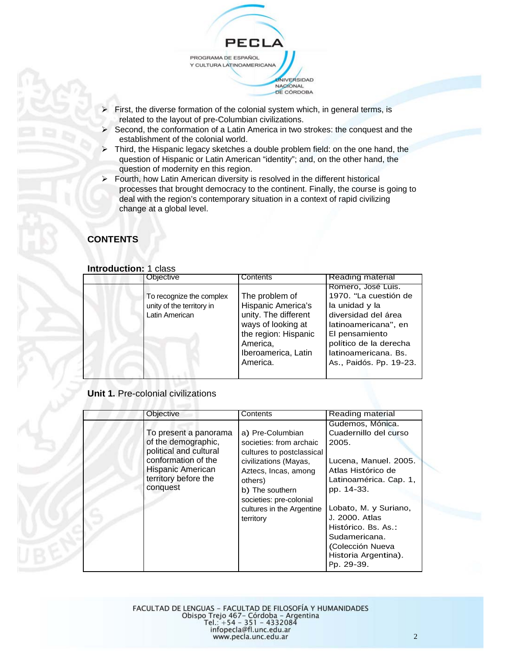PROGRAMA DE ESPAÑOL Y CULTURA LATINOAMERICANA UNIVERSIDAD NACIONAL

PECI

- First, the diverse formation of the colonial system which, in general terms, is related to the layout of pre-Columbian civilizations.
- Second, the conformation of a Latin America in two strokes: the conquest and the establishment of the colonial world.

DE CÓRDOBA

- $\triangleright$  Third, the Hispanic legacy sketches a double problem field: on the one hand, the question of Hispanic or Latin American "identity"; and, on the other hand, the question of modernity en this region.
- $\triangleright$  Fourth, how Latin American diversity is resolved in the different historical processes that brought democracy to the continent. Finally, the course is going to deal with the region's contemporary situation in a context of rapid civilizing change at a global level.

# **CONTENTS**

| Objective                                                               | Contents                                                                                                                                                  | <b>Reading material</b>                                                                                                                                                                                     |
|-------------------------------------------------------------------------|-----------------------------------------------------------------------------------------------------------------------------------------------------------|-------------------------------------------------------------------------------------------------------------------------------------------------------------------------------------------------------------|
| To recognize the complex<br>unity of the territory in<br>Latin American | The problem of<br>Hispanic America's<br>unity. The different<br>ways of looking at<br>the region: Hispanic<br>America,<br>Iberoamerica, Latin<br>America. | Romero, José Luis.<br>1970. "La cuestión de<br>la unidad y la<br>diversidad del área<br>latinoamericana", en<br>El pensamiento<br>político de la derecha<br>latinoamericana, Bs.<br>As., Paidós. Pp. 19-23. |

### **Unit 1.** Pre-colonial civilizations

| Objective                                                                                                                                              | Contents                                                                                                                                                                                                                     | Reading material                                                                                                                                                                                                                                                                       |
|--------------------------------------------------------------------------------------------------------------------------------------------------------|------------------------------------------------------------------------------------------------------------------------------------------------------------------------------------------------------------------------------|----------------------------------------------------------------------------------------------------------------------------------------------------------------------------------------------------------------------------------------------------------------------------------------|
| To present a panorama<br>of the demographic,<br>political and cultural<br>conformation of the<br>Hispanic American<br>territory before the<br>conquest | a) Pre-Columbian<br>societies: from archaic<br>cultures to postclassical<br>civilizations (Mayas,<br>Aztecs, Incas, among<br>others)<br>b) The southern<br>societies: pre-colonial<br>cultures in the Argentine<br>territory | Gudemos, Mónica.<br>Cuadernillo del curso<br>2005.<br>Lucena, Manuel. 2005.<br>Atlas Histórico de<br>Latinoamérica. Cap. 1,<br>pp. 14-33.<br>Lobato, M. y Suriano,<br>J. 2000. Atlas<br>Histórico. Bs. As.:<br>Sudamericana.<br>(Colección Nueva<br>Historia Argentina).<br>Pp. 29-39. |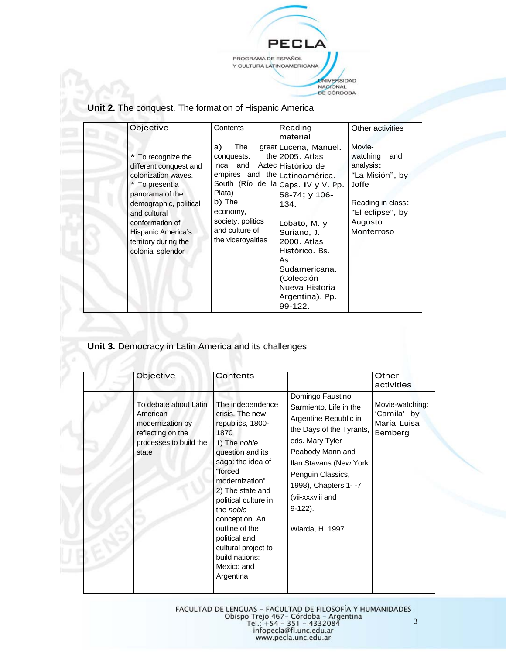PECL PROGRAMA DE ESPAÑOL Y CULTURA LATINOAMERICANA UNIVERSIDAD<br>NAGIONAL<br>DE CÓRDOBA

| Unit 2. The conquest. The formation of Hispanic America |  |  |
|---------------------------------------------------------|--|--|
|---------------------------------------------------------|--|--|

| Objective                                                                                                                                                                                                                                | Contents                                                                                                                                                                             | Reading<br>material                                                                                                                                                                                                                                            | Other activities                                                                                                                     |
|------------------------------------------------------------------------------------------------------------------------------------------------------------------------------------------------------------------------------------------|--------------------------------------------------------------------------------------------------------------------------------------------------------------------------------------|----------------------------------------------------------------------------------------------------------------------------------------------------------------------------------------------------------------------------------------------------------------|--------------------------------------------------------------------------------------------------------------------------------------|
| * To recognize the<br>different conquest and<br>colonization waves.<br>* To present a<br>panorama of the<br>demographic, political<br>and cultural<br>conformation of<br>Hispanic America's<br>territory during the<br>colonial splendor | The<br>a)<br>conquests:<br>Inca and Azted Histórico de<br>empires and the Latinoamérica.<br>Plata)<br>b) The<br>economy,<br>society, politics<br>and culture of<br>the viceroyalties | great Lucena, Manuel.<br>the 2005. Atlas<br>South (Río de la Caps. IV y V. Pp.<br>58-74; y 106-<br>134.<br>Lobato, M. y<br>Suriano, J.<br>2000. Atlas<br>Histórico, Bs.<br>As.:<br>Sudamericana.<br>(Colección<br>Nueva Historia<br>Argentina). Pp.<br>99-122. | Movie-<br>watching<br>and<br>analysis:<br>"La Misión", by<br>Joffe<br>Reading in class:<br>"El eclipse", by<br>Augusto<br>Monterroso |

**Unit 3.** Democracy in Latin America and its challenges

| Objective                                                                                                     | Contents                                                                                                                                                                                                                                                                                                                                       |                                                                                                                                                                                                                                                                      | Other<br>activities                                      |
|---------------------------------------------------------------------------------------------------------------|------------------------------------------------------------------------------------------------------------------------------------------------------------------------------------------------------------------------------------------------------------------------------------------------------------------------------------------------|----------------------------------------------------------------------------------------------------------------------------------------------------------------------------------------------------------------------------------------------------------------------|----------------------------------------------------------|
| To debate about Latin<br>American<br>modernization by<br>reflecting on the<br>processes to build the<br>state | The independence<br>crisis. The new<br>republics, 1800-<br>1870<br>1) The noble<br>question and its<br>saga: the idea of<br>"forced<br>modernization"<br>2) The state and<br>political culture in<br>the <i>noble</i><br>conception. An<br>outline of the<br>political and<br>cultural project to<br>build nations:<br>Mexico and<br>Argentina | Domingo Faustino<br>Sarmiento, Life in the<br>Argentine Republic in<br>the Days of the Tyrants,<br>eds. Mary Tyler<br>Peabody Mann and<br>Ilan Stavans (New York:<br>Penguin Classics,<br>1998), Chapters 1--7<br>(vii-xxxviii and<br>$9-122$ ).<br>Wiarda, H. 1997. | Movie-watching:<br>'Camila' by<br>María Luisa<br>Bemberg |

FACULTAD DE LENGUAS – FACULTAD DE FILOSOFÍA Y HUMANIDADES<br>Obispo Trejo 467– Córdoba – Argentina<br>Tel.: +54 – 351 – 4332084<br>infopecla@fl.unc.edu.ar<br>www.pecla.unc.edu.ar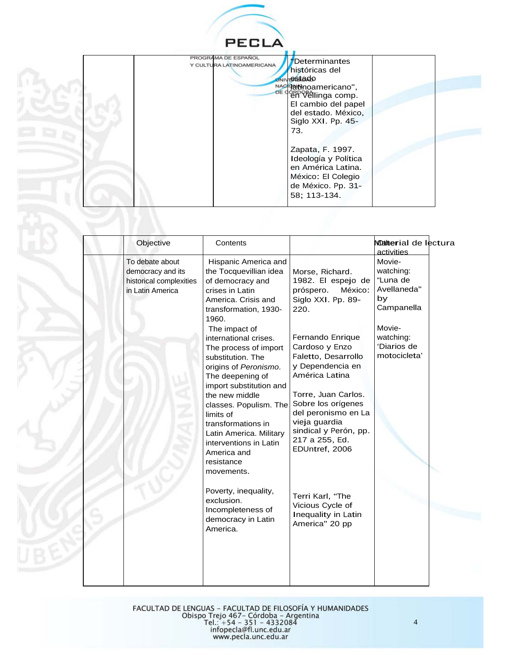

| PROGRAMA DE ESPAÑOL<br>Y CULTURA LATINOAMERICANA | <i>f</i> Determinantes<br>históricas del<br><b>UNIVERSTADO</b><br>NAC Patinoamericano",<br>DE CORDOBALING COMP.<br>El cambio del papel<br>del estado. México,<br>Siglo XXI. Pp. 45-<br>73. |  |
|--------------------------------------------------|--------------------------------------------------------------------------------------------------------------------------------------------------------------------------------------------|--|
|                                                  | Zapata, F. 1997.<br>Ideología y Política<br>en América Latina.<br>México: El Colegio<br>de México. Pp. 31-<br>58: 113-134.                                                                 |  |

| Objective                                                                           | Contents                                                                                                                                                                                                                                                                                                                                                                                                                                                                                      |                                                                                                                                                                                                                                                                                                                                                  | Motterial de lectura<br>activities                                                                                       |
|-------------------------------------------------------------------------------------|-----------------------------------------------------------------------------------------------------------------------------------------------------------------------------------------------------------------------------------------------------------------------------------------------------------------------------------------------------------------------------------------------------------------------------------------------------------------------------------------------|--------------------------------------------------------------------------------------------------------------------------------------------------------------------------------------------------------------------------------------------------------------------------------------------------------------------------------------------------|--------------------------------------------------------------------------------------------------------------------------|
| To debate about<br>democracy and its<br>historical complexities<br>in Latin America | Hispanic America and<br>the Tocquevillian idea<br>of democracy and<br>crises in Latin<br>America. Crisis and<br>transformation, 1930-<br>1960.<br>The impact of<br>international crises.<br>The process of import<br>substitution. The<br>origins of Peronismo.<br>The deepening of<br>import substitution and<br>the new middle<br>classes. Populism. The<br>limits of<br>transformations in<br>Latin America. Military<br>interventions in Latin<br>America and<br>resistance<br>movements. | Morse, Richard.<br>1982. El espejo de<br>México:<br>próspero.<br>Siglo XXI. Pp. 89-<br>220.<br>Fernando Enrique<br>Cardoso y Enzo<br>Faletto, Desarrollo<br>y Dependencia en<br>América Latina<br>Torre, Juan Carlos.<br>Sobre los orígenes<br>del peronismo en La<br>vieja guardia<br>sindical y Perón, pp.<br>217 a 255, Ed.<br>EDUntref, 2006 | Movie-<br>watching:<br>"Luna de<br>Avellaneda"<br>by<br>Campanella<br>Movie-<br>watching:<br>'Diarios de<br>motocicleta' |
|                                                                                     | Poverty, inequality,<br>exclusion.<br>Incompleteness of<br>democracy in Latin<br>America.                                                                                                                                                                                                                                                                                                                                                                                                     | Terri Karl, "The<br>Vicious Cycle of<br>Inequality in Latin<br>America" 20 pp                                                                                                                                                                                                                                                                    |                                                                                                                          |